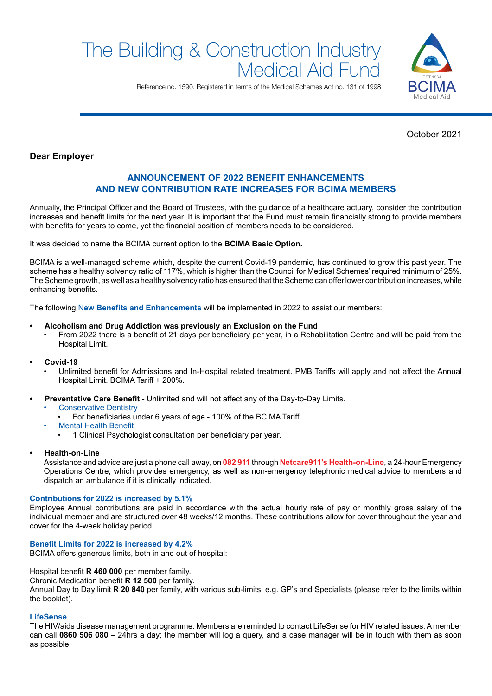# The Building & Construction Industry Medical Aid Fund



Reference no. 1590. Registered in terms of the Medical Schemes Act no. 131 of 1998

October 2021

# **Dear Employer**

## **ANNOUNCEMENT OF 2022 BENEFIT ENHANCEMENTS AND NEW CONTRIBUTION RATE INCREASES FOR BCIMA MEMBERS**

Annually, the Principal Officer and the Board of Trustees, with the guidance of a healthcare actuary, consider the contribution increases and benefit limits for the next year. It is important that the Fund must remain financially strong to provide members with benefits for years to come, yet the financial position of members needs to be considered.

It was decided to name the BCIMA current option to the **BCIMA Basic Option.**

BCIMA is a well-managed scheme which, despite the current Covid-19 pandemic, has continued to grow this past year. The scheme has a healthy solvency ratio of 117%, which is higher than the Council for Medical Schemes' required minimum of 25%. The Scheme growth, as well as a healthy solvency ratio has ensured that the Scheme can offer lower contribution increases, while enhancing benefits.

The following N**ew Benefits and Enhancements** will be implemented in 2022 to assist our members:

## **• Alcoholism and Drug Addiction was previously an Exclusion on the Fund**

• From 2022 there is a benefit of 21 days per beneficiary per year, in a Rehabilitation Centre and will be paid from the Hospital Limit.

## **• Covid-19**

- Unlimited benefit for Admissions and In-Hospital related treatment. PMB Tariffs will apply and not affect the Annual Hospital Limit. BCIMA Tariff + 200%.
- **• Preventative Care Benefit** Unlimited and will not affect any of the Day-to-Day Limits.
	- **Conservative Dentistry**
	- For beneficiaries under 6 years of age 100% of the BCIMA Tariff.
	- **Mental Health Benefit** 
		- 1 Clinical Psychologist consultation per beneficiary per year.
- **• Health-on-Line**

Assistance and advice are just a phone call away, on **082 911** through **Netcare911's Health-on-Line**, a 24-hour Emergency Operations Centre, which provides emergency, as well as non-emergency telephonic medical advice to members and dispatch an ambulance if it is clinically indicated.

## **Contributions for 2022 is increased by 5.1%**

Employee Annual contributions are paid in accordance with the actual hourly rate of pay or monthly gross salary of the individual member and are structured over 48 weeks/12 months. These contributions allow for cover throughout the year and cover for the 4-week holiday period.

## **Benefit Limits for 2022 is increased by 4.2%**

BCIMA offers generous limits, both in and out of hospital:

Hospital benefit **R 460 000** per member family.

Chronic Medication benefit **R 12 500** per family.

Annual Day to Day limit **R 20 840** per family, with various sub-limits, e.g. GP's and Specialists (please refer to the limits within the booklet).

## **LifeSense**

The HIV/aids disease management programme: Members are reminded to contact LifeSense for HIV related issues. A member can call **0860 506 080** – 24hrs a day; the member will log a query, and a case manager will be in touch with them as soon as possible.